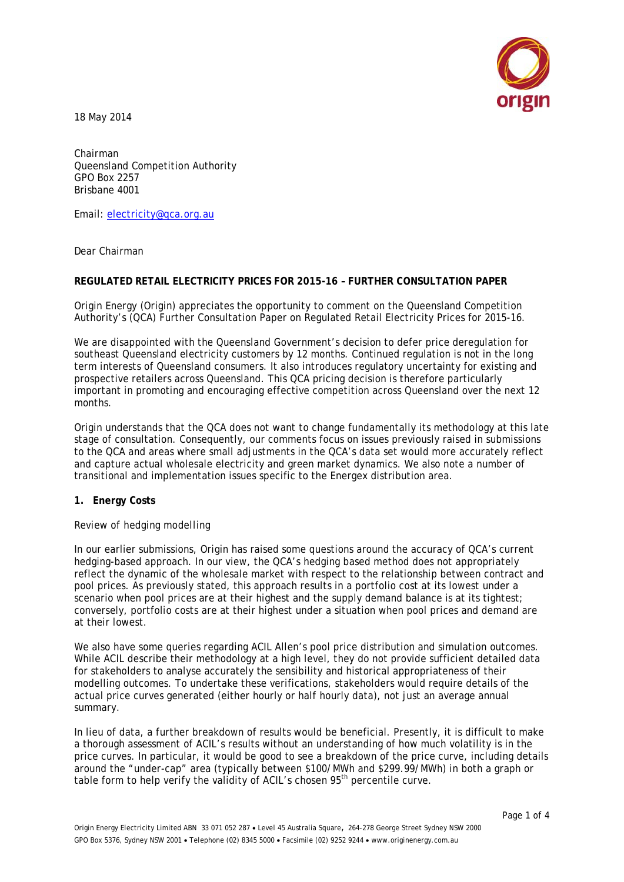

18 May 2014

Chairman Queensland Competition Authority GPO Box 2257 Brisbane 4001

Email: [electricity@qca.org.au](mailto:electricity@qca.org.au)

Dear Chairman

### **REGULATED RETAIL ELECTRICITY PRICES FOR 2015-16 – FURTHER CONSULTATION PAPER**

Origin Energy (Origin) appreciates the opportunity to comment on the Queensland Competition Authority's (QCA) Further Consultation Paper on Regulated Retail Electricity Prices for 2015-16.

We are disappointed with the Queensland Government's decision to defer price deregulation for southeast Queensland electricity customers by 12 months. Continued regulation is not in the long term interests of Queensland consumers. It also introduces regulatory uncertainty for existing and prospective retailers across Queensland. This QCA pricing decision is therefore particularly important in promoting and encouraging effective competition across Queensland over the next 12 months.

Origin understands that the QCA does not want to change fundamentally its methodology at this late stage of consultation. Consequently, our comments focus on issues previously raised in submissions to the QCA and areas where small adjustments in the QCA's data set would more accurately reflect and capture actual wholesale electricity and green market dynamics. We also note a number of transitional and implementation issues specific to the Energex distribution area.

## **1. Energy Costs**

#### *Review of hedging modelling*

In our earlier submissions, Origin has raised some questions around the accuracy of QCA's current hedging-based approach. In our view, the QCA's hedging based method does not appropriately reflect the dynamic of the wholesale market with respect to the relationship between contract and pool prices. As previously stated, this approach results in a portfolio cost at its lowest under a scenario when pool prices are at their highest and the supply demand balance is at its tightest; conversely, portfolio costs are at their highest under a situation when pool prices and demand are at their lowest.

We also have some queries regarding ACIL Allen's pool price distribution and simulation outcomes. While ACIL describe their methodology at a high level, they do not provide sufficient detailed data for stakeholders to analyse accurately the sensibility and historical appropriateness of their modelling outcomes. To undertake these verifications, stakeholders would require details of the actual price curves generated (either hourly or half hourly data), not just an average annual summary.

In lieu of data, a further breakdown of results would be beneficial. Presently, it is difficult to make a thorough assessment of ACIL's results without an understanding of how much volatility is in the price curves. In particular, it would be good to see a breakdown of the price curve, including details around the "under-cap" area (typically between \$100/MWh and \$299.99/MWh) in both a graph or table form to help verify the validity of ACIL's chosen 95<sup>th</sup> percentile curve.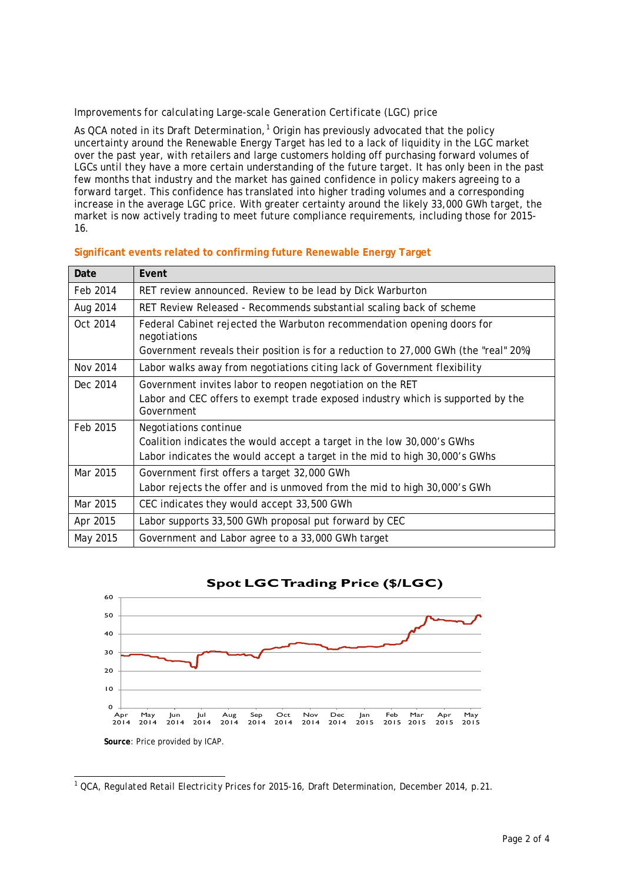### *Improvements for calculating Large-scale Generation Certificate (LGC) price*

As QCA noted in its Draft Determination,<sup>[1](#page-1-0)</sup> Origin has previously advocated that the policy uncertainty around the Renewable Energy Target has led to a lack of liquidity in the LGC market over the past year, with retailers and large customers holding off purchasing forward volumes of LGCs until they have a more certain understanding of the future target. It has only been in the past few months that industry and the market has gained confidence in policy makers agreeing to a forward target. This confidence has translated into higher trading volumes and a corresponding increase in the average LGC price. With greater certainty around the likely 33,000 GWh target, the market is now actively trading to meet future compliance requirements, including those for 2015- 16.

| Date     | Event                                                                                         |
|----------|-----------------------------------------------------------------------------------------------|
| Feb 2014 | RET review announced. Review to be lead by Dick Warburton                                     |
| Aug 2014 | RET Review Released - Recommends substantial scaling back of scheme                           |
| Oct 2014 | Federal Cabinet rejected the Warbuton recommendation opening doors for<br>negotiations        |
|          | Government reveals their position is for a reduction to 27,000 GWh (the "real" 20%)           |
| Nov 2014 | Labor walks away from negotiations citing lack of Government flexibility                      |
| Dec 2014 | Government invites labor to reopen negotiation on the RET                                     |
|          | Labor and CEC offers to exempt trade exposed industry which is supported by the<br>Government |
| Feb 2015 | Negotiations continue                                                                         |
|          | Coalition indicates the would accept a target in the low 30,000's GWhs                        |
|          | Labor indicates the would accept a target in the mid to high 30,000's GWhs                    |
| Mar 2015 | Government first offers a target 32,000 GWh                                                   |
|          | Labor rejects the offer and is unmoved from the mid to high 30,000's GWh                      |
| Mar 2015 | CEC indicates they would accept 33,500 GWh                                                    |
| Apr 2015 | Labor supports 33,500 GWh proposal put forward by CEC                                         |
| May 2015 | Government and Labor agree to a 33,000 GWh target                                             |

### **Significant events related to confirming future Renewable Energy Target**





<span id="page-1-0"></span>1 QCA, *Regulated Retail Electricity Prices for 2015-16*, Draft Determination, December 2014, p.21.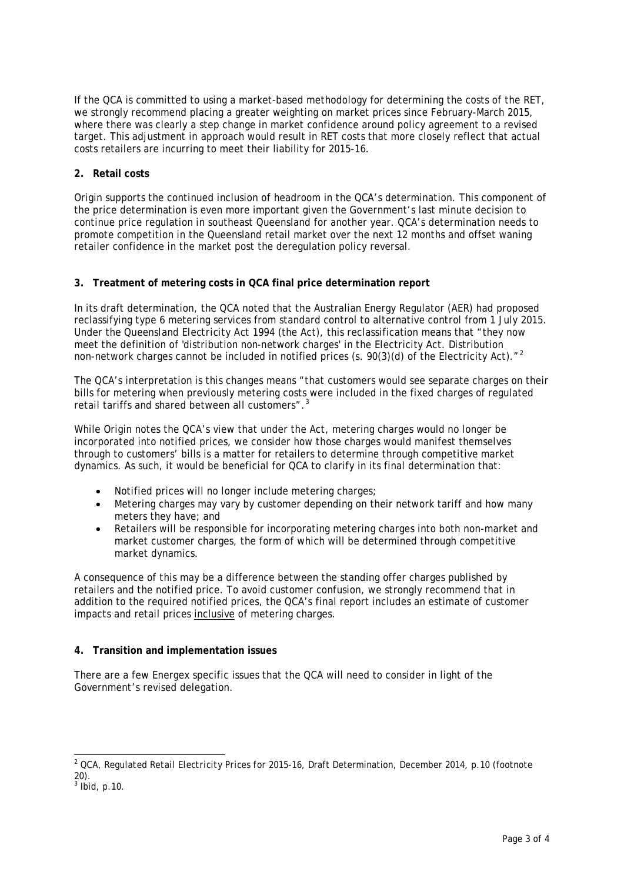If the QCA is committed to using a market-based methodology for determining the costs of the RET, we strongly recommend placing a greater weighting on market prices since February-March 2015, where there was clearly a step change in market confidence around policy agreement to a revised target. This adjustment in approach would result in RET costs that more closely reflect that actual costs retailers are incurring to meet their liability for 2015-16.

# **2. Retail costs**

Origin supports the continued inclusion of headroom in the QCA's determination. This component of the price determination is even more important given the Government's last minute decision to continue price regulation in southeast Queensland for another year. QCA's determination needs to promote competition in the Queensland retail market over the next 12 months and offset waning retailer confidence in the market post the deregulation policy reversal.

## **3. Treatment of metering costs in QCA final price determination report**

In its draft determination, the QCA noted that the Australian Energy Regulator (AER) had proposed reclassifying type 6 metering services from standard control to alternative control from 1 July 2015. Under the *Queensland Electricity Act 1994* (the Act), this reclassification means that "they now meet the definition of 'distribution non-network charges' in the Electricity Act. Distribution non-network charges cannot be included in notified prices (s. 90(3)(d) of the Electricity Act). $n^2$  $n^2$ 

The QCA's interpretation is this changes means "that customers would see separate charges on their bills for metering when previously metering costs were included in the fixed charges of regulated retail tariffs and shared between all customers".<sup>[3](#page-2-1)</sup>

While Origin notes the QCA's view that under the Act, metering charges would no longer be incorporated into notified prices, we consider how those charges would manifest themselves through to customers' bills is a matter for retailers to determine through competitive market dynamics. As such, it would be beneficial for QCA to clarify in its final determination that:

- Notified prices will no longer include metering charges:
- Metering charges may vary by customer depending on their network tariff and how many meters they have; and
- Retailers will be responsible for incorporating metering charges into both non-market and market customer charges, the form of which will be determined through competitive market dynamics.

A consequence of this may be a difference between the standing offer charges published by retailers and the notified price. To avoid customer confusion, we strongly recommend that in addition to the required notified prices, the QCA's final report includes an estimate of customer impacts and retail prices inclusive of metering charges.

## **4. Transition and implementation issues**

There are a few Energex specific issues that the QCA will need to consider in light of the Government's revised delegation.

<span id="page-2-0"></span> <sup>2</sup> QCA, *Regulated Retail Electricity Prices for 2015-16*, Draft Determination, December 2014, p.10 (footnote 20).

<span id="page-2-1"></span> $3$  Ibid, p.10.